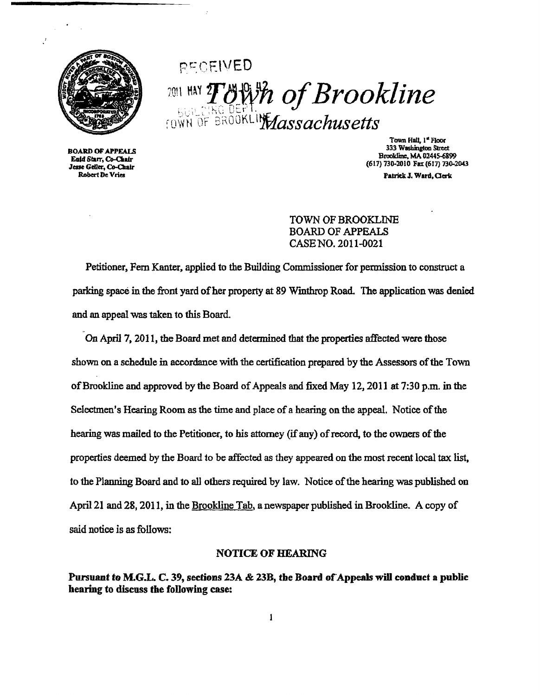

PFCEIVED 2011 HAY *Town of Brookline* FOWN OF BROOKLING  $\hat{d}$ ssachusett.

BOARD OFAPPEALS Eaid Starr, Co-Chair Jesse Geller, Co-Chair Robert De Vries

Town Hall. I<sup>"</sup> Floor 333 Washington Street Broolclinc. MA 02445-6899 (617) 730·2010 Fax (617) 730-2043

Patrick J. Ward, Clerk

TOWN OF BROOKLINE BOARD OF APPEALS CASE NO. 2011-0021

Petitioner, Fern Kanter, applied to the Building Commissioner for permission to construct a parking space in the front yard of her property at 89 Winthrop Road. The application was denied and an appeal was taken to this Board.

On April 7, 2011, the Board met and determined that the properties affected were those shown on a schedule in accordance with the certification prepared by the Assessors of the Town ofBrookline and approved by the Board ofAppeals and fixed May 12,2011 at 7:30 p.m. in the Selectmen's Hearing Room as the time and place of a hearing on the appeal. Notice of the hearing was mailed to the Petitioner, to his attorney (if any) of record, to the owners of the properties deemed by the Board to be affected as they appeared on the most recent local tax list. to the Planning Board and to all others required by law. Notice of the hearing was published on April 21 and 28, 2011, in the Brookline Tab. a newspaper published in Brookline. A copy of said notice is as follows:

### NOTICE OF HEARING

Pursuant to M.G.L. C. 39, sections  $23A \& 23B$ , the Board of Appeals will conduct a public hearing to discuss the following case: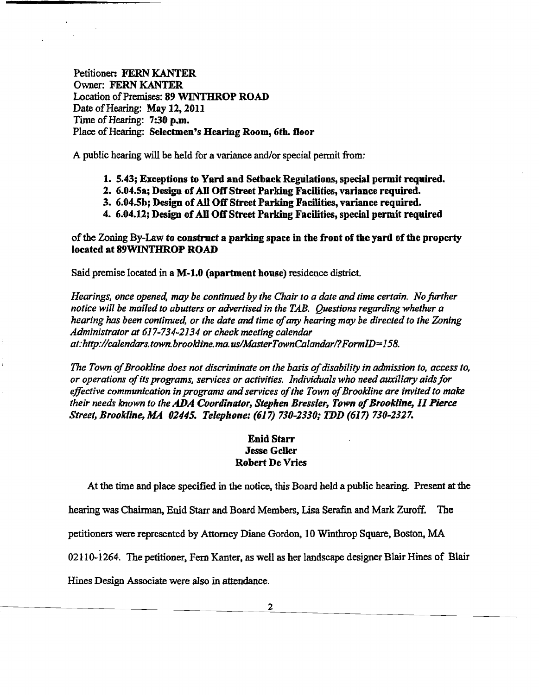Petitioner: FERN KANTER Owner: FERN KANTER Location of Premises: 89 WINTHROP ROAD Date of Hearing: May 12, 2011 Time of Hearing: 7:30 p.m. Place of Hearing: Selectmen's Hearing Room, 6th. floor

A public hearing will be held for a variance and/or special permit from:

- 1. 5.43; Exceptions to Yard and Setback Regulations, special permit required.
- 2. 6.04.5a; Design of All Off Street Parking Facilities, variance required.
- 3. 6.04.5b; Design ofAll OffStreet Parking Facilities, variance required.
- 4. 6.04.12; Design ofAll OffStreet Parking Facilities, special permit required

of the Zoning By-Law to construct a parking space in the front of the yard of the property located at 89WINTHROP ROAD

Said premise located in a M-l.O (apartment house) residence district.

*Hearings, once opened, may be continued by the Chair to a date and time certain. No further notice will be mailed to abutters or advertised in the TAB. Questions regarding whether a hearing has been continued, or the date and time of*any *hearing may be directed to the Zoning Administrator at* 617-734-2134 *or check meeting calendar at:http://calendars.town.brookline.ma.us/MasterTownCalandarl?FormlD=158.* 

The Town of Brookline does not discriminate on the basis of disability in admission to, access to, *or operations ofits programs, services or activities. Individuals who needauxiliary aidsfor effective communication in programs* and *services ofthe Town ofBrookline are invitedto malre their needs known to the ADA Coordinator, Stephen Bressler, Town of Brookline, 11 Pierce Street, Brookline, MA 02445. Telephone:* (617) *730-2330; TDD* (617) *730-2327.* 

## Enid Starr Jesse Geller Robert De Vries

At the time and place specified in the notice, this Board held a public hearing. Present at the

hearing was Chairman, Enid Starr and Board Members, Lisa Serafin and Mark Zuroff. The

petitioners were represented by Attorney Diane Gordon. 10 Winthrop Square, Boston. MA

02110-1264. The petitioner. Fern Kanter, as well as her landscape designer Blair Hines of Blair

Hines Design Associate were also in attendance.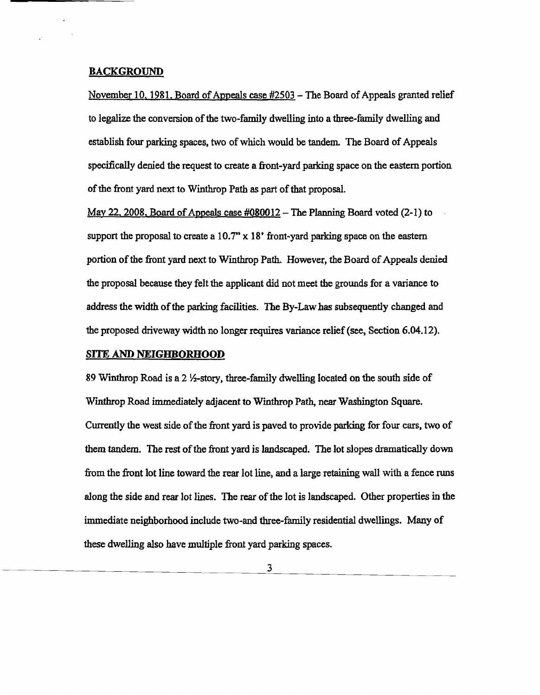#### BACKGROUND

November 10, 1981. Board of Appeals case  $#2503 -$  The Board of Appeals granted relief to legalize the conversion of the two-family dwelling into a three-family dwelling and establish four parking spaces, two ofwhich would be tandem. The Board of Appeals specifically denied the request to create a front-yard parking space on the eastern portion of the front yard next to Winthrop Path as part of that proposal.

May 22, 2008, Board of Appeals case  $\text{\#080012}$  - The Planning Board voted (2-1) to support the proposal to create a *10.T'* x 18' front-yard parking space on the eastern portion of the front yard next to Winthrop Path. However, the Board of Appeals denied the proposal because they felt the applicant did not meet the grounds for a variance to address the width of the parking facilities. The By-Law has subsequently changed and the proposed driveway width no longer requires variance relief (see, Section 6.04.12).

#### **SITE AND NEIGHBORHOOD**

89 Winthrop Road is a 2  $\frac{1}{2}$ -story, three-family dwelling located on the south side of WInthrop Road immediately adjacent to Winthrop Path, near Washington Square. Currently the west side of the front yard is paved to provide parking for four cars, two of them tandem. The rest of the front yard is landscaped. The lot slopes dramatically down from the front lot line toward the rear lot line, and a large retaining wall with a fence runs along the side and rear lot lines. The rear of the lot is landscaped. Other properties in the immediate neighborhood include two-and three-family residential dwellings. Many of these dwelling also have multiple front yard parking spaces.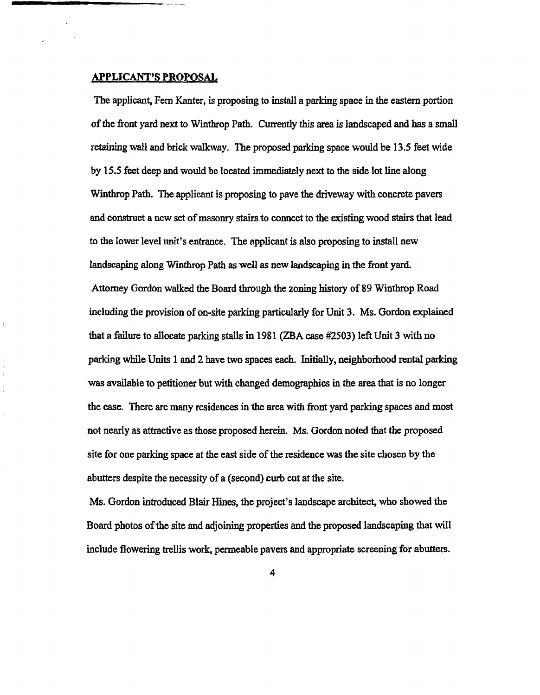#### APPLICANT'S PROPOSAL

The applicant, Fern Kanter, is proposing to install a parking space in the eastern portion of the front yard next to Winthrop Path. Currently this area is landscaped and has a small retaining wall and brick walkway. The proposed parking space would be 13.5 feet wide by 15.5 feet deep and would be located immediately next to the side lot line along Winthrop Path. The applicant is proposing to pave the driveway with concrete pavers and construct a new set of masonry stairs to connect to the existing wood stairs that lead to the lower level unit's entrance. The applicant is also proposing to install new landscaping along Wmthrop Path as well as new landscaping in the front yard. Attorney Gordon walked the Board through the zoning history of 89 Winthrop Road including the provision of on-site parking particularly for Unit 3. Ms. Gordon explained that a failure to allocate parking stalls in 1981 (ZBA case #2503) left Unit 3 with no parking while Units 1 and 2 have two spaces each. Initially, neighborhood rental parking was available to petitioner but with changed demographics in the area that is no longer the case. There are many residences in the area with front yard parking spaces and most not nearly as attractive as those proposed herein. Ms. Gordon noted that the proposed site for one parking space at the east side of the residence was the site chosen by the abutters despite the necessity of a (second) curb cut at the site.

Ms. Gordon introduced Blair Hines, the project's landscape architect, who showed the Board photos ofthe site and adjoining properties and the proposed landscaping that will include flowering trellis work, permeable pavers and appropriate screening for abutters.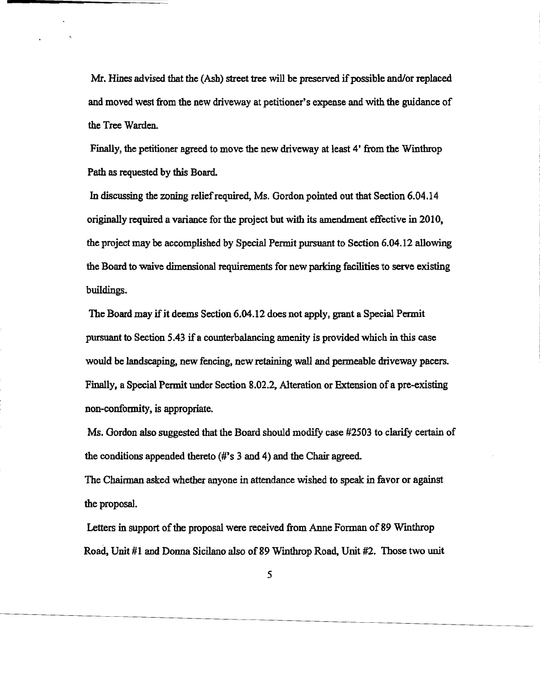Mr. Hines advised that the (Ash) street tree will be preserved if possible and/or replaced and moved west from the new driveway at petitioner's expense and with the guidance of the Tree Warden.

Finally, the petitioner agreed to move the new driveway at least 4' from the Winthrop Path as requested by this Board.

In discussing the zoning relief required, Ms. Gordon pointed out that Section 6.04.14 originally required a variance for the project but with its amendment effective in 2010, the project may be accomplished by Special Permit pursuant to Section 6.04.12 allowing the Board to waive dimensional requirements for new parking facilities to serve existing buildings.

The Board may if it deems Section 6.04.12 does not apply, grant a Special Permit pursuant to Section 5.43 if a counterbalancing amenity is providedwhich in this case would be landscaping, new fencing, new retaining wall and permeable driveway pacers. Finally, a Special Permit under Section 8.02.2, Alteration or Extension of a pre-existing non-conformity, is appropriate.

Ms. Gordon also suggested that the Board should modify case #2503 to clarify certain of the conditions appended thereto (#'s 3 and 4) and the Chair agreed.

The Chairman asked whether anyone in attendance wished to speak in favor or against the proposal.

Letters in support of the proposal were received from Anne Forman of 89 Winthrop Road, Unit #1 and Donna Sicilano also of 89 Winthrop Road, Unit #2. Those two unit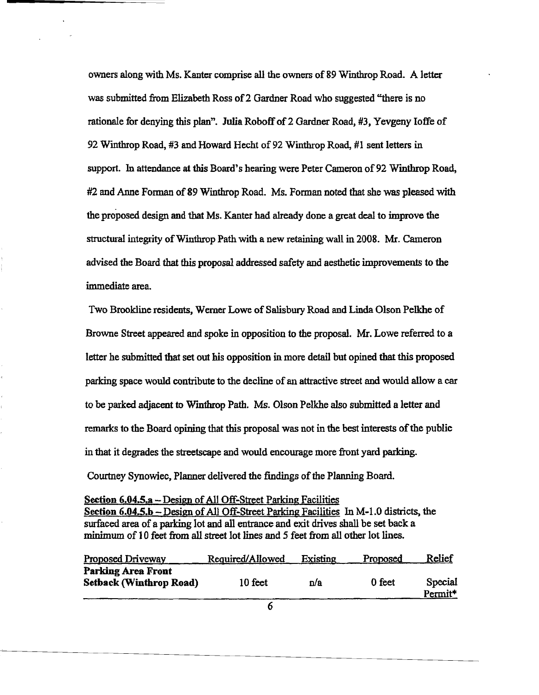owners along with Ms. Kanter comprise all the owners of 89 Winthrop Road. A letter was submitted from Elizabeth Ross of2 Gardner Road who suggested "there is no rationale for denying this plan". Julia Roboff of 2 Gardner Road, #3, Yevgeny Ioffe of 92 Wmtbrop Road, #3 and Howard Hecht of 92 Winthrop Road, #1 sent letters in support. In attendance at this Board's hearing were Peter Cameron of 92 Winthrop Road, #2 and Anne Forman of 89 Winthrop Road. Ms. Forman noted that she was pleased with the proposed design and that Ms. Kanter had already done a great deal to improve the structural integrity ofWinthrop Path with a new retaining wall in 2008. Mr. Cameron advised the Board that this proposal addressed safety and aesthetic improvements to the immediate area.

Two Brookline residents, Werner Lowe of Salisbury Road and Linda Olson Pelkhe of Browne Street appeared and spoke in opposition to the proposal. Mr. Lowe referred to a letter he submitted that set out his opposition in more detail but opined that this proposed parking space would contribute to the decline of an attractive street and would allow a car to be parked adjacent to Wmtbrop Path. Ms. Olson Pelkhe also submitted a letter and remarks to the Board opining that this proposal was not in the best interests ofthe public in that it degrades the streetscape and would encourage more front yard parking. Courtney Synowiec, Planner delivered the findings of the Planning Board.

Section 6.04.5.a - Design of All Off-Street Parking Facilities Section  $6.04.5$ ,  $b -$ Design of All Off-Street Parking Facilities In M-1.0 districts, the surfaced area of a parking lot and all entrance and exit drives shall be set back a minimum of 10 feet from all street lot lines and 5 feet from all other lot lines.

| <b>Proposed Driveway</b>                                    | Required/Allowed | Existing | Proposed | Relief                         |
|-------------------------------------------------------------|------------------|----------|----------|--------------------------------|
| <b>Parking Area Front</b><br><b>Setback (Winthrop Road)</b> | 10 feet          | n/a      | 0 feet   | Special<br>Permit <sup>*</sup> |
|                                                             |                  |          |          |                                |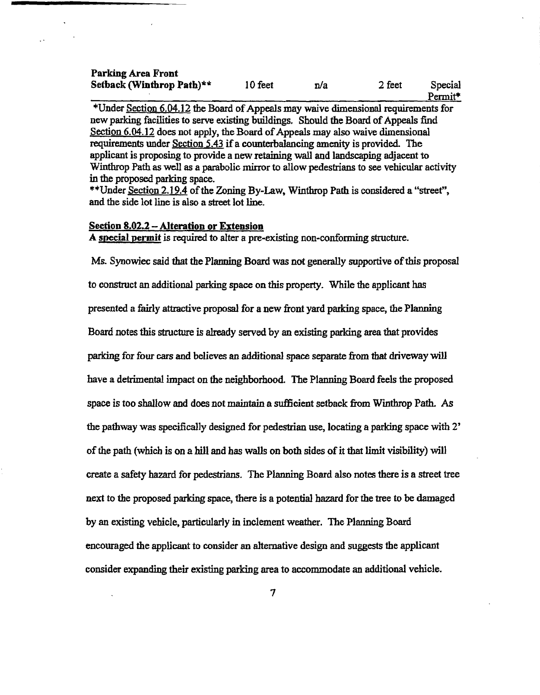## Parking Area Front Setback (Winthrop Path)\*\*  $10$  feet  $n/a$  2 feet Special

Permit\*

\*Under Section  $6.04.12$  the Board of Appeals may waive dimensional requirements for new parking facilities to serve existing buildings. Should the Board of Appeals find Section  $6.04.12$  does not apply, the Board of Appeals may also waive dimensional requirements under Section 5.43 if a counterbalancing amenity is provided. The applicant is proposing to provide a new retaining wall and landscaping adjacent to Winthrop Path as well as a parabolic mirror to allow pedestrians to see vehicular activity in the proposed parking space.

\*\*Under Section 2.19.4 of the Zoning By-Law, Winthrop Path is considered a "street", and the side lot line is also a street lot line.

# Section 8.02.2 - Alteration or Extension

A special permit is required to alter a pre-existing non-confonning structure.

Ms. Synowiec said that the Planning Board was not generally supportive of this proposal to construct an additional parking space on this property. While the applicant has presented a fairly attractive proposal for a new front yard parking space, the Planning Board notes this structure is already served by an existing parking area that provides parking for four cars and believes an additional space separate from that driveway will have a detrimental impact on the neighborhood. The Planning Board feels the proposed space is too shallow and does not maintain a sufficient setback from Winthrop Path. As the pathway was specifically designed for pedestrian use, locating a parking space with 2' of the path (which is on a hill and has walls on both sides of it that limit visibility) will create a safety hazard for pedestrians. The Planning Board also notes there is a street tree next to the proposed parking space, there is a potential hazard for the tree to be damaged by an existing vehicle, particularly in inclement weather. The Planning Board encouraged the applicant to consider an alternative design and suggests the applicant consider expanding their existing parking area to accommodate an additional vehicle.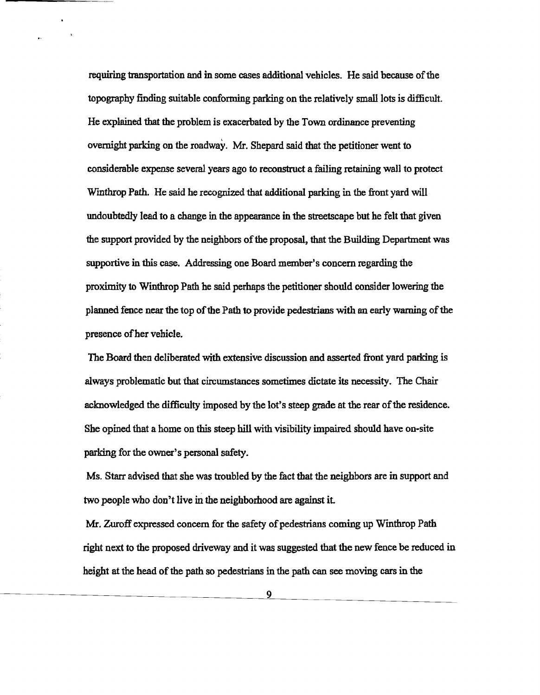requiring transportation and in some cases additional vehicles. He said because of the topography finding suitable confonning parking on the relatively small lots is difficult. He explained that the problem is exacerbated by the Town ordinance preventing overnight parking on the roadway. Mr. Shepard said that the petitioner went to considerable expense several years ago to reconstruct a failing retaining wall to protect Wmthrop Path. He said he recognized that additional parking in the front yard will undoubtedly lead to a change in the appearance in the streetscape but he felt that given the support provided by the neighbors of the proposal, that the Building Department was supportive in this case. Addressing one Board member's concern regarding the proximity to Winthrop Path he said perhaps the petitioner should consider lowering the planned fence near the top ofthe Path to provide pedestrians with an early warning ofthe presence of her vehicle.

The Board then deliberated with extensive discussion and asserted front yard parking is always problematic but that circumstances sometimes dictate its necessity. The Chair acknowledged the difficulty imposed by the lot's steep grade at the rear of the residence. She opined that a home on this steep hill with visibility impaired should have on-site parking for the owner's personal safety.

Ms. Starr advised that she was troubled by the fact that the neighbors are in support and two people who don't live in the neighborhood are against it.

Mr. Zuroff expressed concern for the safety of pedestrians coming up Winthrop Path right next to the proposed driveway and it was suggested that the new fence be reduced in height at the head of the path so pedestrians in the path can see moving cars in the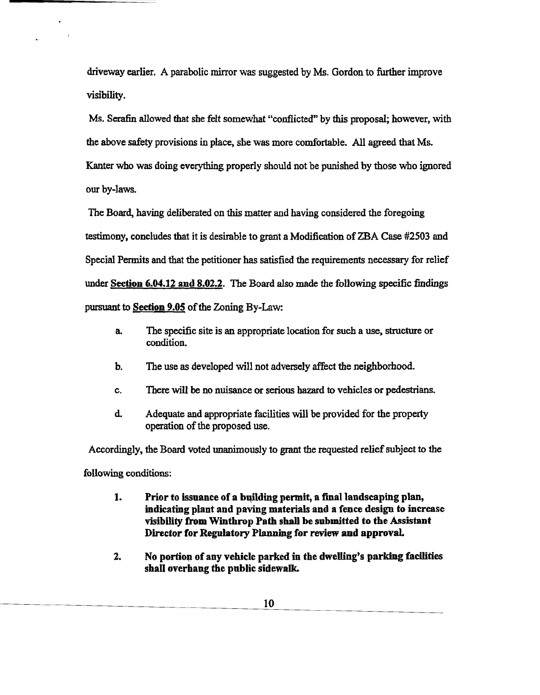driveway earlier. A parabolic mirror was suggested by Ms. Gordon to further improve visibility.

Ms. Serafin allowed that she felt somewhat "conflicted" by this proposal; however, with the above safety provisions in place, she was more comfortable. All agreed that Ms. Kanter who was doing everything properly should not be punished by those who ignored our by-laws.

The Board, having deliberated on this matter and having considered the foregoing testimony, concludes that it is desirable to grant a Modification of ZBA Case #2503 and Special Permits and that the petitioner has satisfied the requirements necessary for relief under Section 6.04.12 and 8.02.2. The Board also made the following specific findings pursuant to Section 9.05 of the Zoning By-Law:

- a. The specific site is an appropriate location for such a use, structure or condition.
- b. The use as developed will not adversely affect the neighborhood.
- c. There will be no nuisance or serious hazard to vehicles or pedestrians.
- d. Adequate and appropriate facilities will be provided for the property operation of the proposed use.

Accordingly. the Board voted unanimously to grant the requested reliefsubject to the following conditions:

- 1. Prior to issuance of a building permit, a final landscaping plan, indicating plant and paving materials and a fence design to increase visibility from Winthrop Path shall be submitted to the Assistant Director for Regulatory Planning for review and approval.
- 2. No portion of any vehicle parked in the dwelling's parking facilities shall overhang the public sidewalk.